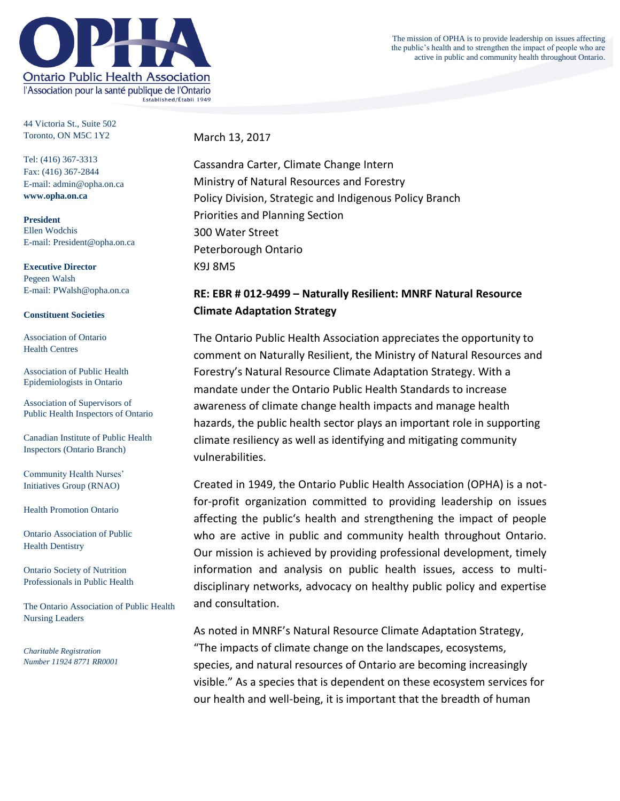**Ontario Public Health Association** l'Association pour la santé publique de l'Ontario Established/Établi 1949

The mission of OPHA is to provide leadership on issues affecting the public's health and to strengthen the impact of people who are active in public and community health throughout Ontario.

44 Victoria St., Suite 502 Toronto, ON M5C 1Y2

Tel: (416) 367-3313 Fax: (416) 367-2844 E-mail: admin@opha.on.ca **www.opha.on.ca**

**President** Ellen Wodchis E-mail: President@opha.on.ca

**Executive Director** Pegeen Walsh E-mail: PWalsh@opha.on.ca

#### **Constituent Societies**

Association of Ontario Health Centres

Association of Public Health Epidemiologists in Ontario

Association of Supervisors of Public Health Inspectors of Ontario

Canadian Institute of Public Health Inspectors (Ontario Branch)

Community Health Nurses' Initiatives Group (RNAO)

Health Promotion Ontario

Ontario Association of Public Health Dentistry

Ontario Society of Nutrition Professionals in Public Health

The Ontario Association of Public Health Nursing Leaders

*Charitable Registration Number 11924 8771 RR0001* March 13, 2017

Cassandra Carter, Climate Change Intern Ministry of Natural Resources and Forestry Policy Division, Strategic and Indigenous Policy Branch Priorities and Planning Section 300 Water Street Peterborough Ontario K9J 8M5

# **RE: EBR # 012-9499 – Naturally Resilient: MNRF Natural Resource Climate Adaptation Strategy**

The Ontario Public Health Association appreciates the opportunity to comment on Naturally Resilient, the Ministry of Natural Resources and Forestry's Natural Resource Climate Adaptation Strategy. With a mandate under the Ontario Public Health Standards to increase awareness of climate change health impacts and manage health hazards, the public health sector plays an important role in supporting climate resiliency as well as identifying and mitigating community vulnerabilities.

Created in 1949, the Ontario Public Health Association (OPHA) is a notfor-profit organization committed to providing leadership on issues affecting the public's health and strengthening the impact of people who are active in public and community health throughout Ontario. Our mission is achieved by providing professional development, timely information and analysis on public health issues, access to multidisciplinary networks, advocacy on healthy public policy and expertise and consultation.

As noted in MNRF's Natural Resource Climate Adaptation Strategy, "The impacts of climate change on the landscapes, ecosystems, species, and natural resources of Ontario are becoming increasingly visible." As a species that is dependent on these ecosystem services for our health and well-being, it is important that the breadth of human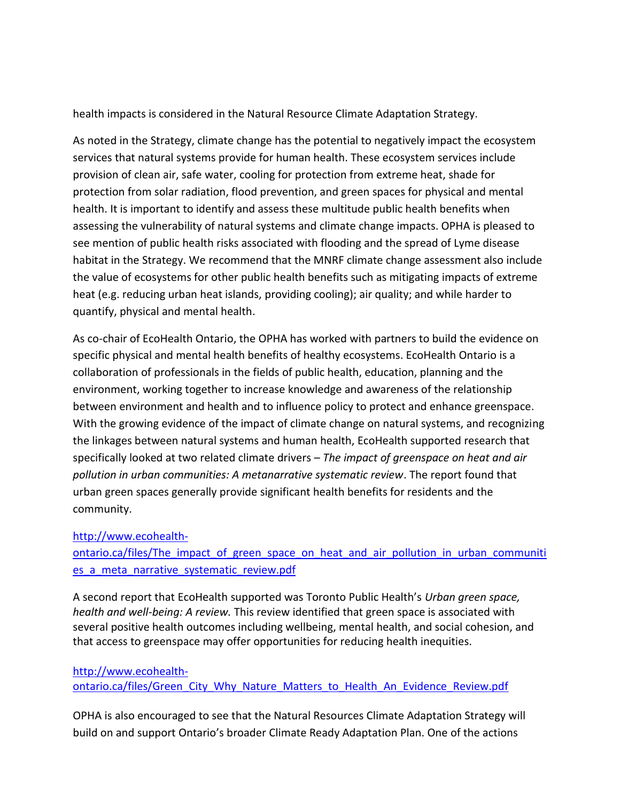health impacts is considered in the Natural Resource Climate Adaptation Strategy.

As noted in the Strategy, climate change has the potential to negatively impact the ecosystem services that natural systems provide for human health. These ecosystem services include provision of clean air, safe water, cooling for protection from extreme heat, shade for protection from solar radiation, flood prevention, and green spaces for physical and mental health. It is important to identify and assess these multitude public health benefits when assessing the vulnerability of natural systems and climate change impacts. OPHA is pleased to see mention of public health risks associated with flooding and the spread of Lyme disease habitat in the Strategy. We recommend that the MNRF climate change assessment also include the value of ecosystems for other public health benefits such as mitigating impacts of extreme heat (e.g. reducing urban heat islands, providing cooling); air quality; and while harder to quantify, physical and mental health.

As co-chair of EcoHealth Ontario, the OPHA has worked with partners to build the evidence on specific physical and mental health benefits of healthy ecosystems. EcoHealth Ontario is a collaboration of professionals in the fields of public health, education, planning and the environment, working together to increase knowledge and awareness of the relationship between environment and health and to influence policy to protect and enhance greenspace. With the growing evidence of the impact of climate change on natural systems, and recognizing the linkages between natural systems and human health, EcoHealth supported research that specifically looked at two related climate drivers – *The impact of greenspace on heat and air pollution in urban communities: A metanarrative systematic review*. The report found that urban green spaces generally provide significant health benefits for residents and the community.

### [http://www.ecohealth-](http://www.ecohealth-ontario.ca/files/The_impact_of_green_space_on_heat_and_air_pollution_in_urban_communities_a_meta_narrative_systematic_review.pdf)

ontario.ca/files/The impact of green space on heat and air pollution in urban communiti es a meta narrative systematic review.pdf

A second report that EcoHealth supported was Toronto Public Health's *Urban green space, health and well-being: A review.* This review identified that green space is associated with several positive health outcomes including wellbeing, mental health, and social cohesion, and that access to greenspace may offer opportunities for reducing health inequities.

## [http://www.ecohealth](http://www.ecohealth-ontario.ca/files/Green_City_Why_Nature_Matters_to_Health_An_Evidence_Review.pdf)ontario.ca/files/Green City Why Nature Matters to Health An Evidence Review.pdf

OPHA is also encouraged to see that the Natural Resources Climate Adaptation Strategy will build on and support Ontario's broader Climate Ready Adaptation Plan. One of the actions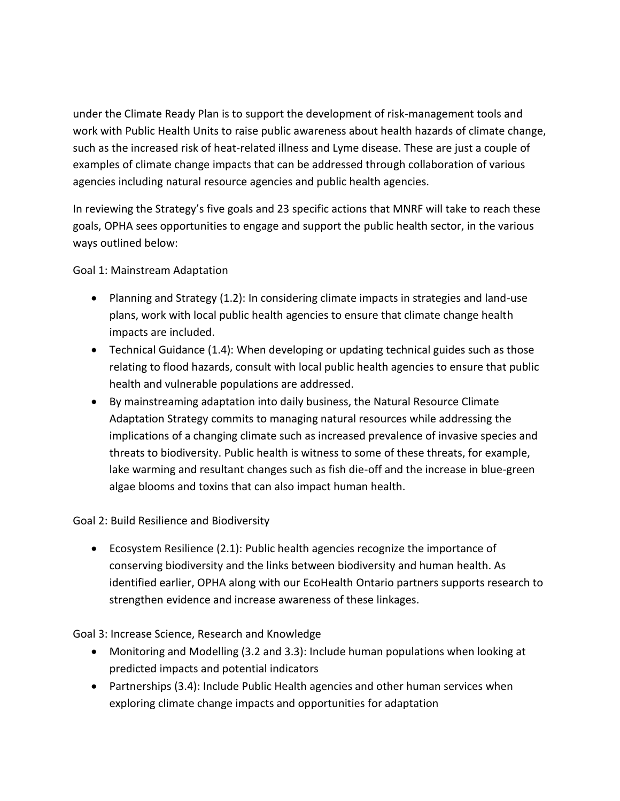under the Climate Ready Plan is to support the development of risk-management tools and work with Public Health Units to raise public awareness about health hazards of climate change, such as the increased risk of heat-related illness and Lyme disease. These are just a couple of examples of climate change impacts that can be addressed through collaboration of various agencies including natural resource agencies and public health agencies.

In reviewing the Strategy's five goals and 23 specific actions that MNRF will take to reach these goals, OPHA sees opportunities to engage and support the public health sector, in the various ways outlined below:

Goal 1: Mainstream Adaptation

- Planning and Strategy (1.2): In considering climate impacts in strategies and land-use plans, work with local public health agencies to ensure that climate change health impacts are included.
- Technical Guidance (1.4): When developing or updating technical guides such as those relating to flood hazards, consult with local public health agencies to ensure that public health and vulnerable populations are addressed.
- By mainstreaming adaptation into daily business, the Natural Resource Climate Adaptation Strategy commits to managing natural resources while addressing the implications of a changing climate such as increased prevalence of invasive species and threats to biodiversity. Public health is witness to some of these threats, for example, lake warming and resultant changes such as fish die-off and the increase in blue-green algae blooms and toxins that can also impact human health.

Goal 2: Build Resilience and Biodiversity

 Ecosystem Resilience (2.1): Public health agencies recognize the importance of conserving biodiversity and the links between biodiversity and human health. As identified earlier, OPHA along with our EcoHealth Ontario partners supports research to strengthen evidence and increase awareness of these linkages.

Goal 3: Increase Science, Research and Knowledge

- Monitoring and Modelling (3.2 and 3.3): Include human populations when looking at predicted impacts and potential indicators
- Partnerships (3.4): Include Public Health agencies and other human services when exploring climate change impacts and opportunities for adaptation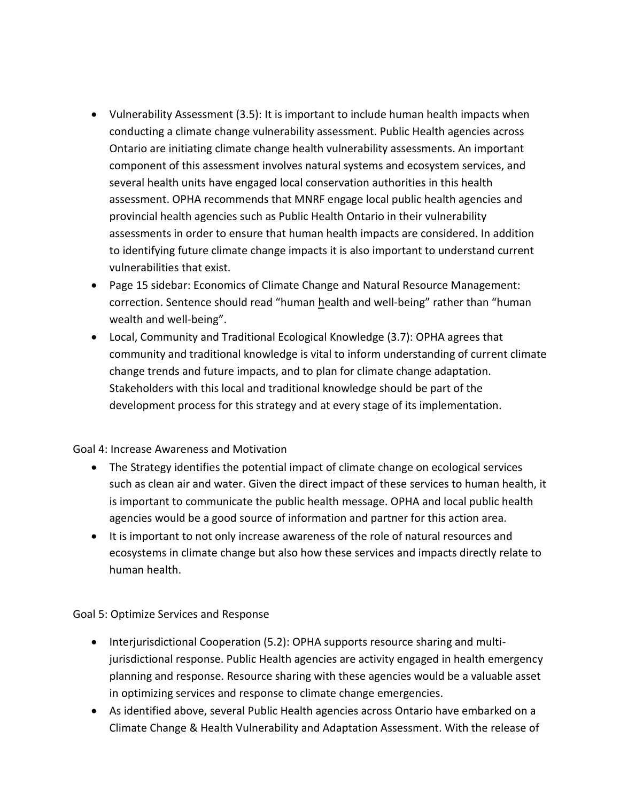- Vulnerability Assessment (3.5): It is important to include human health impacts when conducting a climate change vulnerability assessment. Public Health agencies across Ontario are initiating climate change health vulnerability assessments. An important component of this assessment involves natural systems and ecosystem services, and several health units have engaged local conservation authorities in this health assessment. OPHA recommends that MNRF engage local public health agencies and provincial health agencies such as Public Health Ontario in their vulnerability assessments in order to ensure that human health impacts are considered. In addition to identifying future climate change impacts it is also important to understand current vulnerabilities that exist.
- Page 15 sidebar: Economics of Climate Change and Natural Resource Management: correction. Sentence should read "human health and well-being" rather than "human wealth and well-being".
- Local, Community and Traditional Ecological Knowledge (3.7): OPHA agrees that community and traditional knowledge is vital to inform understanding of current climate change trends and future impacts, and to plan for climate change adaptation. Stakeholders with this local and traditional knowledge should be part of the development process for this strategy and at every stage of its implementation.

### Goal 4: Increase Awareness and Motivation

- The Strategy identifies the potential impact of climate change on ecological services such as clean air and water. Given the direct impact of these services to human health, it is important to communicate the public health message. OPHA and local public health agencies would be a good source of information and partner for this action area.
- It is important to not only increase awareness of the role of natural resources and ecosystems in climate change but also how these services and impacts directly relate to human health.

Goal 5: Optimize Services and Response

- Interjurisdictional Cooperation (5.2): OPHA supports resource sharing and multijurisdictional response. Public Health agencies are activity engaged in health emergency planning and response. Resource sharing with these agencies would be a valuable asset in optimizing services and response to climate change emergencies.
- As identified above, several Public Health agencies across Ontario have embarked on a Climate Change & Health Vulnerability and Adaptation Assessment. With the release of